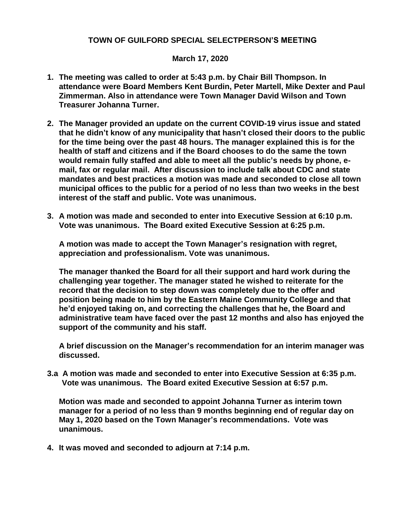## **TOWN OF GUILFORD SPECIAL SELECTPERSON'S MEETING**

## **March 17, 2020**

- **1. The meeting was called to order at 5:43 p.m. by Chair Bill Thompson. In attendance were Board Members Kent Burdin, Peter Martell, Mike Dexter and Paul Zimmerman. Also in attendance were Town Manager David Wilson and Town Treasurer Johanna Turner.**
- **2. The Manager provided an update on the current COVID-19 virus issue and stated that he didn't know of any municipality that hasn't closed their doors to the public for the time being over the past 48 hours. The manager explained this is for the health of staff and citizens and if the Board chooses to do the same the town would remain fully staffed and able to meet all the public's needs by phone, email, fax or regular mail. After discussion to include talk about CDC and state mandates and best practices a motion was made and seconded to close all town municipal offices to the public for a period of no less than two weeks in the best interest of the staff and public. Vote was unanimous.**
- **3. A motion was made and seconded to enter into Executive Session at 6:10 p.m. Vote was unanimous. The Board exited Executive Session at 6:25 p.m.**

**A motion was made to accept the Town Manager's resignation with regret, appreciation and professionalism. Vote was unanimous.**

**The manager thanked the Board for all their support and hard work during the challenging year together. The manager stated he wished to reiterate for the record that the decision to step down was completely due to the offer and position being made to him by the Eastern Maine Community College and that he'd enjoyed taking on, and correcting the challenges that he, the Board and administrative team have faced over the past 12 months and also has enjoyed the support of the community and his staff.**

**A brief discussion on the Manager's recommendation for an interim manager was discussed.**

**3.a A motion was made and seconded to enter into Executive Session at 6:35 p.m. Vote was unanimous. The Board exited Executive Session at 6:57 p.m.**

**Motion was made and seconded to appoint Johanna Turner as interim town manager for a period of no less than 9 months beginning end of regular day on May 1, 2020 based on the Town Manager's recommendations. Vote was unanimous.** 

**4. It was moved and seconded to adjourn at 7:14 p.m.**